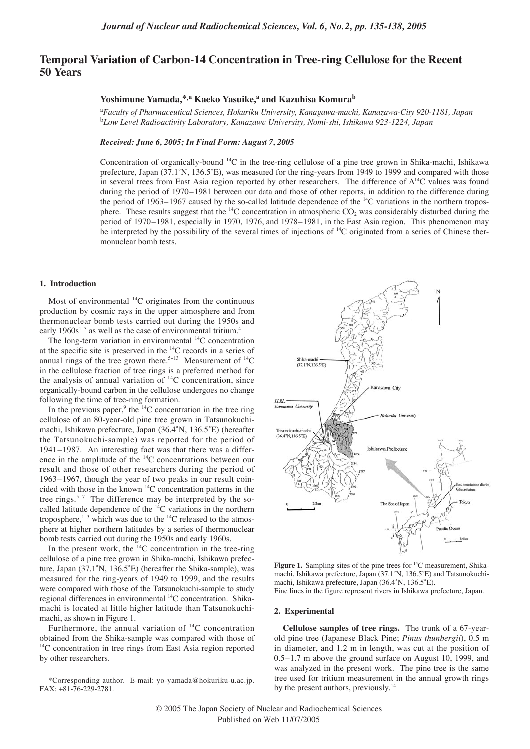# **Temporal Variation of Carbon-14 Concentration in Tree-ring Cellulose for the Recent 50 Years**

## **Yoshimune Yamada,\*,a Kaeko Yasuike,<sup>a</sup> and Kazuhisa Komurab**

a *Faculty of Pharmaceutical Sciences, Hokuriku University, Kanagawa-machi, Kanazawa-City 920-1181, Japan* b *Low Level Radioactivity Laboratory, Kanazawa University, Nomi-shi, Ishikawa 923-1224, Japan* 

#### *Received: June 6, 2005; In Final Form: August 7, 2005*

Concentration of organically-bound 14C in the tree-ring cellulose of a pine tree grown in Shika-machi, Ishikawa prefecture, Japan (37.1˚N, 136.5˚E), was measured for the ring-years from 1949 to 1999 and compared with those in several trees from East Asia region reported by other researchers. The difference of  $\Delta^{14}C$  values was found during the period of 1970–1981 between our data and those of other reports, in addition to the difference during the period of 1963–1967 caused by the so-called latitude dependence of the  $^{14}$ C variations in the northern troposphere. These results suggest that the  $\rm{^{14}C}$  concentration in atmospheric CO<sub>2</sub> was considerably disturbed during the period of 1970–1981, especially in 1970, 1976, and 1978–1981, in the East Asia region. This phenomenon may be interpreted by the possibility of the several times of injections of  ${}^{14}C$  originated from a series of Chinese thermonuclear bomb tests.

### **1. Introduction**

Most of environmental  ${}^{14}C$  originates from the continuous production by cosmic rays in the upper atmosphere and from thermonuclear bomb tests carried out during the 1950s and early 1960s<sup>1-3</sup> as well as the case of environmental tritium.<sup>4</sup>

The long-term variation in environmental <sup>14</sup>C concentration at the specific site is preserved in the 14C records in a series of annual rings of the tree grown there.<sup>5-13</sup> Measurement of <sup>14</sup>C in the cellulose fraction of tree rings is a preferred method for the analysis of annual variation of  $^{14}C$  concentration, since organically-bound carbon in the cellulose undergoes no change following the time of tree-ring formation.

In the previous paper, $9$  the  $14$ C concentration in the tree ring cellulose of an 80-year-old pine tree grown in Tatsunokuchimachi, Ishikawa prefecture, Japan (36.4˚N, 136.5˚E) (hereafter the Tatsunokuchi-sample) was reported for the period of 1941–1987. An interesting fact was that there was a difference in the amplitude of the 14C concentrations between our result and those of other researchers during the period of 1963–1967, though the year of two peaks in our result coincided with those in the known 14C concentration patterns in the tree rings.<sup>5−7</sup> The difference may be interpreted by the socalled latitude dependence of the  $14C$  variations in the northern troposphere, $1-3$  which was due to the  $14$ C released to the atmosphere at higher northern latitudes by a series of thermonuclear bomb tests carried out during the 1950s and early 1960s.

In the present work, the  $14C$  concentration in the tree-ring cellulose of a pine tree grown in Shika-machi, Ishikawa prefecture, Japan (37.1˚N, 136.5˚E) (hereafter the Shika-sample), was measured for the ring-years of 1949 to 1999, and the results were compared with those of the Tatsunokuchi-sample to study regional differences in environmental <sup>14</sup>C concentration. Shikamachi is located at little higher latitude than Tatsunokuchimachi, as shown in Figure 1.

Furthermore, the annual variation of  $^{14}$ C concentration obtained from the Shika-sample was compared with those of <sup>14</sup>C concentration in tree rings from East Asia region reported by other researchers.



Figure 1. Sampling sites of the pine trees for <sup>14</sup>C measurement, Shikamachi, Ishikawa prefecture, Japan (37.1˚N, 136.5˚E) and Tatsunokuchimachi, Ishikawa prefecture, Japan (36.4˚N, 136.5˚E). Fine lines in the figure represent rivers in Ishikawa prefecture, Japan.

#### **2. Experimental**

**Cellulose samples of tree rings.** The trunk of a 67-yearold pine tree (Japanese Black Pine; *Pinus thunbergii*), 0.5 m in diameter, and 1.2 m in length, was cut at the position of 0.5–1.7 m above the ground surface on August 10, 1999, and was analyzed in the present work. The pine tree is the same tree used for tritium measurement in the annual growth rings by the present authors, previously.<sup>14</sup>

<sup>\*</sup>Corresponding author. E-mail: yo-yamada@hokuriku-u.ac.jp. FAX: +81-76-229-2781.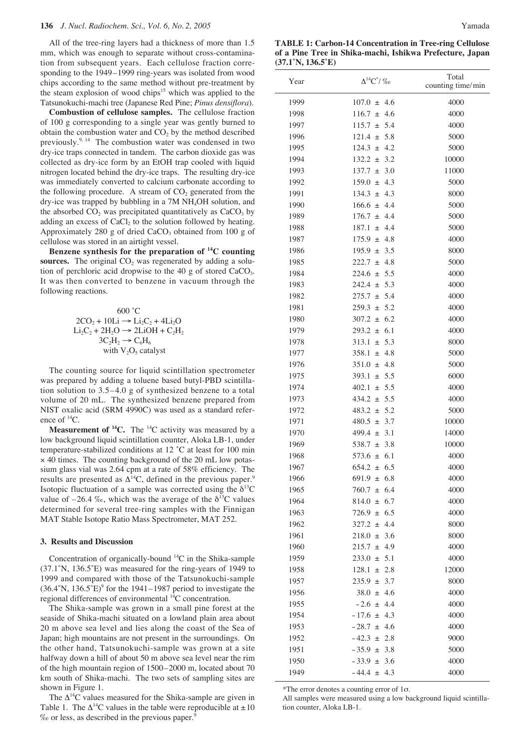All of the tree-ring layers had a thickness of more than 1.5 mm, which was enough to separate without cross-contamination from subsequent years. Each cellulose fraction corresponding to the 1949–1999 ring-years was isolated from wood chips according to the same method without pre-treatment by the steam explosion of wood chips<sup>15</sup> which was applied to the Tatsunokuchi-machi tree (Japanese Red Pine; *Pinus densiflora*).

**Combustion of cellulose samples.** The cellulose fraction of 100 g corresponding to a single year was gently burned to obtain the combustion water and  $CO<sub>2</sub>$  by the method described previously.<sup>9, 14</sup> The combustion water was condensed in two dry-ice traps connected in tandem. The carbon dioxide gas was collected as dry-ice form by an EtOH trap cooled with liquid nitrogen located behind the dry-ice traps. The resulting dry-ice was immediately converted to calcium carbonate according to the following procedure. A stream of  $CO<sub>2</sub>$  generated from the dry-ice was trapped by bubbling in a 7M NH4OH solution, and the absorbed  $CO<sub>2</sub>$  was precipitated quantitatively as  $CaCO<sub>3</sub>$  by adding an excess of  $CaCl<sub>2</sub>$  to the solution followed by heating. Approximately 280 g of dried  $CaCO<sub>3</sub>$  obtained from 100 g of cellulose was stored in an airtight vessel.

**Benzene synthesis for the preparation of 14C counting sources.** The original  $CO<sub>2</sub>$  was regenerated by adding a solution of perchloric acid dropwise to the 40 g of stored CaCO3. It was then converted to benzene in vacuum through the following reactions.

$$
600 °C
$$
  
2CO<sub>2</sub> + 10Li  $\rightarrow$  Li<sub>2</sub>C<sub>2</sub> + 4Li<sub>2</sub>O  
Li<sub>2</sub>C<sub>2</sub> + 2H<sub>2</sub>O  $\rightarrow$  2LiOH + C<sub>2</sub>H<sub>2</sub>  
3C<sub>2</sub>H<sub>2</sub>  $\rightarrow$  C<sub>6</sub>H<sub>6</sub>  
with V<sub>2</sub>O<sub>5</sub> catalyst

The counting source for liquid scintillation spectrometer was prepared by adding a toluene based butyl-PBD scintillation solution to 3.5–4.0 g of synthesized benzene to a total volume of 20 mL. The synthesized benzene prepared from NIST oxalic acid (SRM 4990C) was used as a standard reference of  ${}^{14}C$ .

**Measurement of <sup>14</sup>C.** The <sup>14</sup>C activity was measured by a low background liquid scintillation counter, Aloka LB-1, under temperature-stabilized conditions at 12 ˚C at least for 100 min × 40 times. The counting background of the 20 mL low potassium glass vial was 2.64 cpm at a rate of 58% efficiency. The results are presented as  $\Delta^{14}$ C, defined in the previous paper.<sup>9</sup> Isotopic fluctuation of a sample was corrected using the  $\delta^{13}$ C value of  $-26.4\%$ , which was the average of the  $\delta^{13}$ C values determined for several tree-ring samples with the Finnigan MAT Stable Isotope Ratio Mass Spectrometer, MAT 252.

#### **3. Results and Discussion**

Concentration of organically-bound  ${}^{14}C$  in the Shika-sample (37.1˚N, 136.5˚E) was measured for the ring-years of 1949 to 1999 and compared with those of the Tatsunokuchi-sample  $(36.4°N, 136.5°E)$ <sup>9</sup> for the 1941–1987 period to investigate the regional differences of environmental  ${}^{14}C$  concentration.

The Shika-sample was grown in a small pine forest at the seaside of Shika-machi situated on a lowland plain area about 20 m above sea level and lies along the coast of the Sea of Japan; high mountains are not present in the surroundings. On the other hand, Tatsunokuchi-sample was grown at a site halfway down a hill of about 50 m above sea level near the rim of the high mountain region of 1500–2000 m, located about 70 km south of Shika-machi. The two sets of sampling sites are shown in Figure 1.

The  $\Delta^{14}$ C values measured for the Shika-sample are given in Table 1. The  $\Delta^{14}$ C values in the table were reproducible at  $\pm 10$ ‰ or less, as described in the previous paper.9

**TABLE 1: Carbon-14 Concentration in Tree-ring Cellulose of a Pine Tree in Shika-machi, Ishikwa Prefecture, Japan (37.1˚N, 136.5˚E)**

| Year | $\Delta^{14}$ C <sup>*</sup> / $\%$ o | Total<br>counting time/min |
|------|---------------------------------------|----------------------------|
| 1999 | $107.0 \pm 4.6$                       | 4000                       |
| 1998 | $116.7 \pm 4.6$                       | 4000                       |
| 1997 | $115.7 \pm$<br>5.4                    | 4000                       |
| 1996 | $121.4 \pm$<br>5.8                    | 5000                       |
| 1995 | 124.3 $\pm$<br>4.2                    | 5000                       |
| 1994 | $132.2 \pm$<br>3.2                    | 10000                      |
| 1993 | 137.7<br>3.0<br>士                     | 11000                      |
| 1992 | $159.0 \pm$<br>4.3                    | 5000                       |
| 1991 | $134.3 \pm 4.3$                       | 8000                       |
| 1990 | $166.6 \pm 4.4$                       | 5000                       |
| 1989 | 176.7<br>-4.4<br>$+$                  | 5000                       |
| 1988 | 187.1<br>4.4<br>$\pm$                 | 5000                       |
| 1987 | $175.9 \pm$<br>4.8                    | 4000                       |
| 1986 | $195.9 +$<br>3.5                      | 8000                       |
| 1985 | $222.7 \pm$<br>4.8                    | 5000                       |
| 1984 | $224.6 \pm 5.5$                       | 4000                       |
| 1983 | $242.4 \pm 5.3$                       | 4000                       |
| 1982 | $275.7 \pm$<br>5.4                    | 4000                       |
| 1981 | $259.3 \pm$<br>5.2                    | 4000                       |
| 1980 | $307.2 \pm$<br>6.2                    | 4000                       |
| 1979 | $293.2 \pm$<br>6.1                    | 4000                       |
| 1978 | 313.1<br>5.3<br>$\pm$                 | 8000                       |
| 1977 | 358.1<br>$±$ 4.8                      | 5000                       |
| 1976 | $351.0 \pm 4.8$                       | 5000                       |
| 1975 | 393.1<br>5.5<br>$+$                   | 6000                       |
| 1974 | 402.1<br>5.5<br>$\pm$                 | 4000                       |
| 1973 | 5.5<br>434.2 $\pm$                    | 4000                       |
| 1972 | 483.2 $\pm$<br>5.2                    | 5000                       |
| 1971 | 480.5 $\pm$<br>3.7                    | 10000                      |
| 1970 | $499.4 \pm 3.1$                       | 14000                      |
| 1969 | 538.7 $\pm$<br>3.8                    | 10000                      |
| 1968 | 573.6 $\pm$<br>-6.1                   | 4000                       |
| 1967 | 654.2 $\pm$<br>6.5                    | 4000                       |
| 1966 | 691.9 $\pm$<br>6.8                    | 4000                       |
| 1965 | 6.4<br>760.7<br>$\pm$                 | 4000                       |
| 1964 | 6.7<br>814.0<br>$\pm$                 | 4000                       |
| 1963 | $726.9 \pm$<br>6.5                    | 4000                       |
| 1962 | $327.2 \pm$<br>4.4                    | 8000                       |
| 1961 | $218.0 \pm 3.6$                       | 8000                       |
| 1960 | $215.7 \pm$<br>4.9                    | 4000                       |
| 1959 | $233.0 \pm$<br>5.1                    | 4000                       |
| 1958 | 128.1<br>2.8<br>$\pm$                 | 12000                      |
| 1957 | $235.9 \pm$<br>3.7                    | 8000                       |
| 1956 | 38.0 $\pm$<br>4.6                     | 4000                       |
| 1955 | 4.4<br>$-2.6 \pm$                     | 4000                       |
| 1954 | $-17.6 \pm 4.3$                       | 4000                       |
| 1953 | $-28.7 \pm 4.6$                       | 4000                       |
| 1952 | $-42.3 \pm$<br>2.8                    | 9000                       |
| 1951 | $-35.9 \pm$<br>3.8                    | 5000                       |
| 1950 | $-33.9 +$<br>3.6                      | 4000                       |
| 1949 | $-44.4 \pm$<br>4.3                    | 4000                       |

\*The error denotes a counting error of 1σ.

All samples were measured using a low background liquid scintillation counter, Aloka LB-1.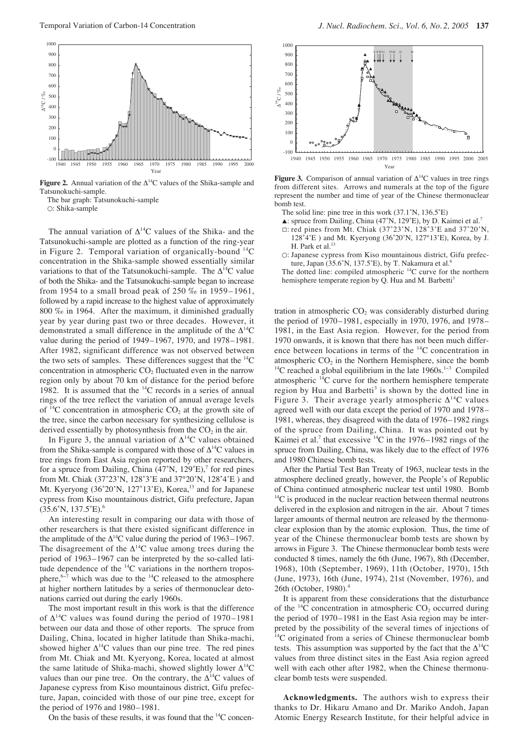

**Figure 2.** Annual variation of the ∆14C values of the Shika-sample and Tatsunokuchi-sample.

The bar graph: Tatsunokuchi-sample

○: Shika-sample

The annual variation of  $\Delta^{14}$ C values of the Shika- and the Tatsunokuchi-sample are plotted as a function of the ring-year in Figure 2. Temporal variation of organically-bound  $^{14}$ C concentration in the Shika-sample showed essentially similar variations to that of the Tatsunokuchi-sample. The  $\Delta^{14}$ C value of both the Shika- and the Tatsunokuchi-sample began to increase from 1954 to a small broad peak of 250 ‰ in 1959–1961, followed by a rapid increase to the highest value of approximately 800 ‰ in 1964. After the maximum, it diminished gradually year by year during past two or three decades. However, it demonstrated a small difference in the amplitude of the  $\Delta^{14}$ C value during the period of 1949–1967, 1970, and 1978–1981. After 1982, significant difference was not observed between the two sets of samples. These differences suggest that the  ${}^{14}$ C concentration in atmospheric  $CO<sub>2</sub>$  fluctuated even in the narrow region only by about 70 km of distance for the period before 1982. It is assumed that the  $^{14}$ C records in a series of annual rings of the tree reflect the variation of annual average levels of  $^{14}$ C concentration in atmospheric CO<sub>2</sub> at the growth site of the tree, since the carbon necessary for synthesizing cellulose is derived essentially by photosynthesis from the  $CO<sub>2</sub>$  in the air.

In Figure 3, the annual variation of  $\Delta^{14}$ C values obtained from the Shika-sample is compared with those of  $\Delta^{14}C$  values in tree rings from East Asia region reported by other researchers, for a spruce from Dailing, China  $(47°N, 129°E)$ ,<sup>7</sup> for red pines from Mt. Chiak (37˚23'N, 128˚3'E and 37°20'N, 128˚4'E ) and Mt. Kyeryong (36°20'N, 127°13'E), Korea,<sup>13</sup> and for Japanese cypress from Kiso mountainous district, Gifu prefecture, Japan  $(35.6°N, 137.5°E).$ <sup>6</sup>

An interesting result in comparing our data with those of other researchers is that there existed significant difference in the amplitude of the  $\Delta^{14}$ C value during the period of 1963–1967. The disagreement of the  $\Delta^{14}$ C value among trees during the period of 1963–1967 can be interpreted by the so-called latitude dependence of the  $^{14}$ C variations in the northern troposphere,<sup>6-7</sup> which was due to the <sup>14</sup>C released to the atmosphere at higher northern latitudes by a series of thermonuclear detonations carried out during the early 1960s.

The most important result in this work is that the difference of  $\Delta^{14}$ C values was found during the period of 1970–1981 between our data and those of other reports. The spruce from Dailing, China, located in higher latitude than Shika-machi, showed higher  $\Delta^{14}$ C values than our pine tree. The red pines from Mt. Chiak and Mt. Kyeryong, Korea, located at almost the same latitude of Shika-machi, showed slightly lower  $\Delta^{14}$ C values than our pine tree. On the contrary, the  $\Delta^{14}$ C values of Japanese cypress from Kiso mountainous district, Gifu prefecture, Japan, coincided with those of our pine tree, except for the period of 1976 and 1980–1981.

On the basis of these results, it was found that the 14C concen-



**Figure 3.** Comparison of annual variation of  $\Delta^{14}$ C values in tree rings from different sites. Arrows and numerals at the top of the figure represent the number and time of year of the Chinese thermonuclear bomb test.

- The solid line: pine tree in this work (37.1˚N, 136.5˚E)
- $\triangle$ : spruce from Dailing, China (47°N, 129°E), by D. Kaimei et al.<sup>7</sup>
- $\Box$ : red pines from Mt. Chiak (37°23'N, 128°3'E and 37°20'N, 128˚4'E ) and Mt. Kyeryong (36˚20'N, 127°13'E), Korea, by J. H. Park et al.<sup>13</sup>
- ○: Japanese cypress from Kiso mountainous district, Gifu prefecture, Japan (35.6°N, 137.5°E), by T. Nakamura et al.<sup>6</sup>

The dotted line: compiled atmospheric  $^{14}$ C curve for the northern hemisphere temperate region by Q. Hua and M. Barbetti<sup>3</sup>

tration in atmospheric  $CO<sub>2</sub>$  was considerably disturbed during the period of 1970–1981, especially in 1970, 1976, and 1978– 1981, in the East Asia region. However, for the period from 1970 onwards, it is known that there has not been much difference between locations in terms of the 14C concentration in atmospheric  $CO<sub>2</sub>$  in the Northern Hemisphere, since the bomb  $14C$  reached a global equilibrium in the late 1960s.<sup>1-3</sup> Compiled atmospheric 14C curve for the northern hemisphere temperate region by Hua and Barbetti<sup>3</sup> is shown by the dotted line in Figure 3. Their average yearly atmospheric  $\Delta^{14}C$  values agreed well with our data except the period of 1970 and 1978– 1981, whereas, they disagreed with the data of 1976–1982 rings of the spruce from Dailing, China. It was pointed out by Kaimei et al.<sup>7</sup> that excessive  $^{14}$ C in the 1976–1982 rings of the spruce from Dailing, China, was likely due to the effect of 1976 and 1980 Chinese bomb tests.

After the Partial Test Ban Treaty of 1963, nuclear tests in the atmosphere declined greatly, however, the People's of Republic of China continued atmospheric nuclear test until 1980. Bomb  $^{14}$ C is produced in the nuclear reaction between thermal neutrons delivered in the explosion and nitrogen in the air. About 7 times larger amounts of thermal neutron are released by the thermonuclear explosion than by the atomic explosion. Thus, the time of year of the Chinese thermonuclear bomb tests are shown by arrows in Figure 3. The Chinese thermonuclear bomb tests were conducted 8 times, namely the 6th (June, 1967), 8th (December, 1968), 10th (September, 1969), 11th (October, 1970), 15th (June, 1973), 16th (June, 1974), 21st (November, 1976), and 26th (October, 1980).4

It is apparent from these considerations that the disturbance of the  $^{14}$ C concentration in atmospheric CO<sub>2</sub> occurred during the period of 1970–1981 in the East Asia region may be interpreted by the possibility of the several times of injections of <sup>14</sup>C originated from a series of Chinese thermonuclear bomb tests. This assumption was supported by the fact that the  $\Delta^{14}C$ values from three distinct sites in the East Asia region agreed well with each other after 1982, when the Chinese thermonuclear bomb tests were suspended.

**Acknowledgments.** The authors wish to express their thanks to Dr. Hikaru Amano and Dr. Mariko Andoh, Japan Atomic Energy Research Institute, for their helpful advice in